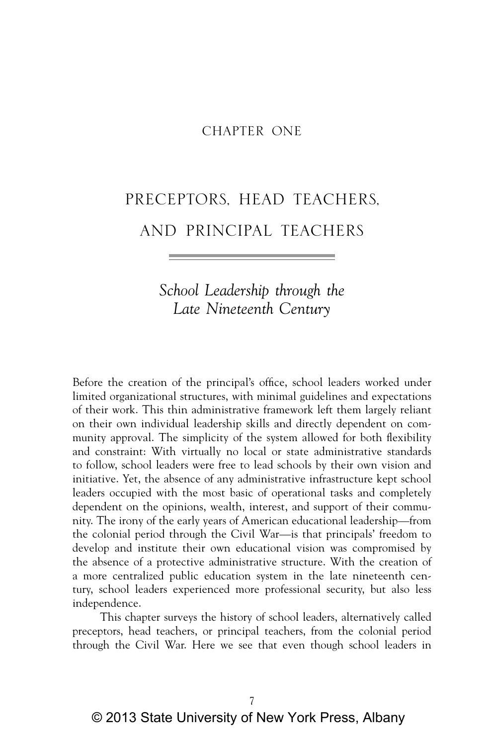### CHAPTER ONE

# PRECEPTORS, HEAD TEACHERS, AND PRINCIPAL TEACHERS

*School Leadership through the Late Nineteenth Century* 

Before the creation of the principal's office, school leaders worked under limited organizational structures, with minimal guidelines and expectations of their work. This thin administrative framework left them largely reliant on their own individual leadership skills and directly dependent on community approval. The simplicity of the system allowed for both flexibility and constraint: With virtually no local or state administrative standards to follow, school leaders were free to lead schools by their own vision and initiative. Yet, the absence of any administrative infrastructure kept school leaders occupied with the most basic of operational tasks and completely dependent on the opinions, wealth, interest, and support of their community. The irony of the early years of American educational leadership—from the colonial period through the Civil War—is that principals' freedom to develop and institute their own educational vision was compromised by the absence of a protective administrative structure. With the creation of a more centralized public education system in the late nineteenth century, school leaders experienced more professional security, but also less independence.

This chapter surveys the history of school leaders, alternatively called preceptors, head teachers, or principal teachers, from the colonial period through the Civil War. Here we see that even though school leaders in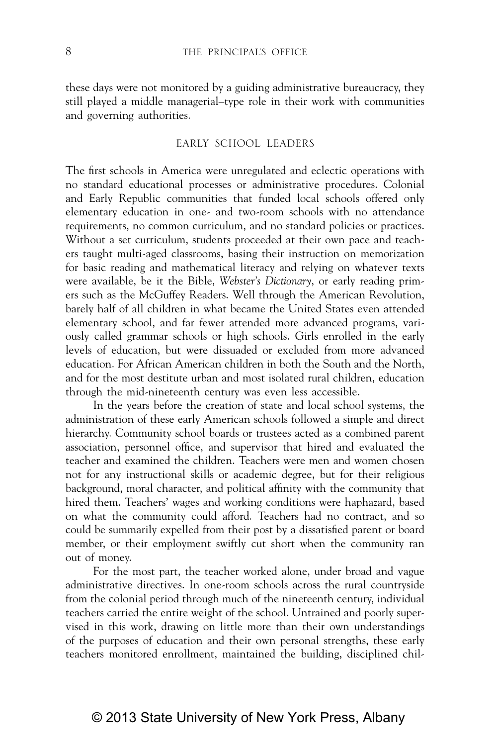these days were not monitored by a guiding administrative bureaucracy, they still played a middle managerial–type role in their work with communities and governing authorities.

#### EARLY SCHOOL LEADERS

The first schools in America were unregulated and eclectic operations with no standard educational processes or administrative procedures. Colonial and Early Republic communities that funded local schools offered only elementary education in one- and two-room schools with no attendance requirements, no common curriculum, and no standard policies or practices. Without a set curriculum, students proceeded at their own pace and teachers taught multi-aged classrooms, basing their instruction on memorization for basic reading and mathematical literacy and relying on whatever texts were available, be it the Bible, *Webster's Dictionary*, or early reading primers such as the McGuffey Readers. Well through the American Revolution, barely half of all children in what became the United States even attended elementary school, and far fewer attended more advanced programs, variously called grammar schools or high schools. Girls enrolled in the early levels of education, but were dissuaded or excluded from more advanced education. For African American children in both the South and the North, and for the most destitute urban and most isolated rural children, education through the mid-nineteenth century was even less accessible.

In the years before the creation of state and local school systems, the administration of these early American schools followed a simple and direct hierarchy. Community school boards or trustees acted as a combined parent association, personnel office, and supervisor that hired and evaluated the teacher and examined the children. Teachers were men and women chosen not for any instructional skills or academic degree, but for their religious background, moral character, and political affinity with the community that hired them. Teachers' wages and working conditions were haphazard, based on what the community could afford. Teachers had no contract, and so could be summarily expelled from their post by a dissatisfied parent or board member, or their employment swiftly cut short when the community ran out of money.

For the most part, the teacher worked alone, under broad and vague administrative directives. In one-room schools across the rural countryside from the colonial period through much of the nineteenth century, individual teachers carried the entire weight of the school. Untrained and poorly supervised in this work, drawing on little more than their own understandings of the purposes of education and their own personal strengths, these early teachers monitored enrollment, maintained the building, disciplined chil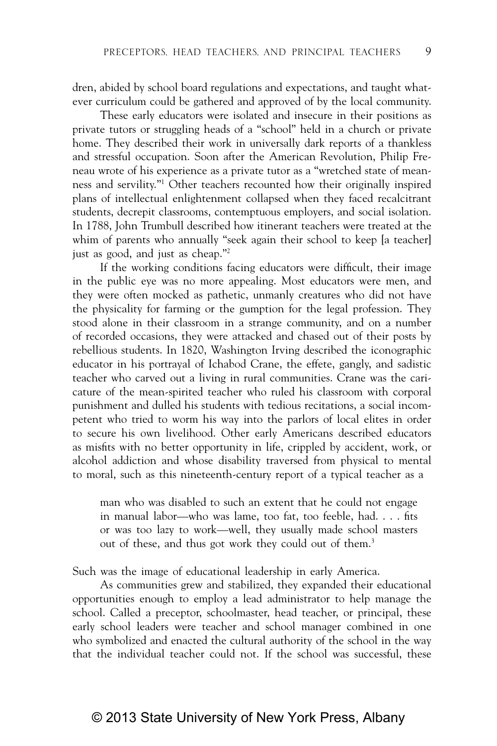dren, abided by school board regulations and expectations, and taught whatever curriculum could be gathered and approved of by the local community.

These early educators were isolated and insecure in their positions as private tutors or struggling heads of a "school" held in a church or private home. They described their work in universally dark reports of a thankless and stressful occupation. Soon after the American Revolution, Philip Freneau wrote of his experience as a private tutor as a "wretched state of meanness and servility."1 Other teachers recounted how their originally inspired plans of intellectual enlightenment collapsed when they faced recalcitrant students, decrepit classrooms, contemptuous employers, and social isolation. In 1788, John Trumbull described how itinerant teachers were treated at the whim of parents who annually "seek again their school to keep [a teacher] just as good, and just as cheap."2

If the working conditions facing educators were difficult, their image in the public eye was no more appealing. Most educators were men, and they were often mocked as pathetic, unmanly creatures who did not have the physicality for farming or the gumption for the legal profession. They stood alone in their classroom in a strange community, and on a number of recorded occasions, they were attacked and chased out of their posts by rebellious students. In 1820, Washington Irving described the iconographic educator in his portrayal of Ichabod Crane, the effete, gangly, and sadistic teacher who carved out a living in rural communities. Crane was the caricature of the mean-spirited teacher who ruled his classroom with corporal punishment and dulled his students with tedious recitations, a social incompetent who tried to worm his way into the parlors of local elites in order to secure his own livelihood. Other early Americans described educators as misfits with no better opportunity in life, crippled by accident, work, or alcohol addiction and whose disability traversed from physical to mental to moral, such as this nineteenth-century report of a typical teacher as a

man who was disabled to such an extent that he could not engage in manual labor—who was lame, too fat, too feeble, had. . . . fits or was too lazy to work—well, they usually made school masters out of these, and thus got work they could out of them.<sup>3</sup>

Such was the image of educational leadership in early America.

As communities grew and stabilized, they expanded their educational opportunities enough to employ a lead administrator to help manage the school. Called a preceptor, schoolmaster, head teacher, or principal, these early school leaders were teacher and school manager combined in one who symbolized and enacted the cultural authority of the school in the way that the individual teacher could not. If the school was successful, these

# © 2013 State University of New York Press, Albany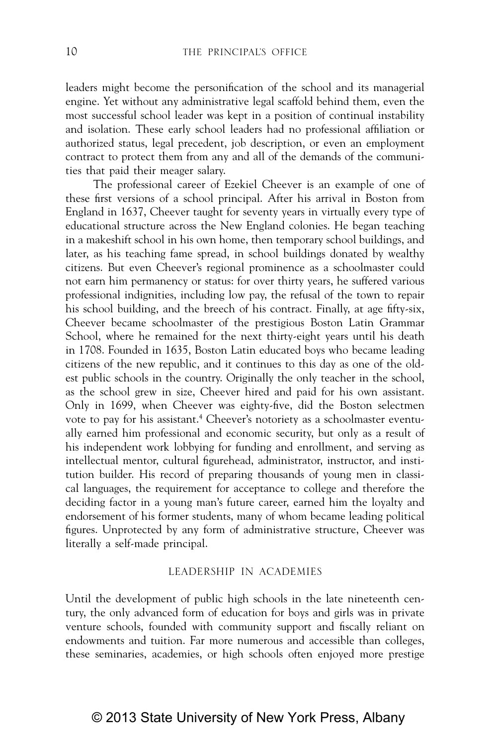leaders might become the personification of the school and its managerial engine. Yet without any administrative legal scaffold behind them, even the most successful school leader was kept in a position of continual instability and isolation. These early school leaders had no professional affiliation or authorized status, legal precedent, job description, or even an employment contract to protect them from any and all of the demands of the communities that paid their meager salary.

The professional career of Ezekiel Cheever is an example of one of these first versions of a school principal. After his arrival in Boston from England in 1637, Cheever taught for seventy years in virtually every type of educational structure across the New England colonies. He began teaching in a makeshift school in his own home, then temporary school buildings, and later, as his teaching fame spread, in school buildings donated by wealthy citizens. But even Cheever's regional prominence as a schoolmaster could not earn him permanency or status: for over thirty years, he suffered various professional indignities, including low pay, the refusal of the town to repair his school building, and the breech of his contract. Finally, at age fifty-six, Cheever became schoolmaster of the prestigious Boston Latin Grammar School, where he remained for the next thirty-eight years until his death in 1708. Founded in 1635, Boston Latin educated boys who became leading citizens of the new republic, and it continues to this day as one of the oldest public schools in the country. Originally the only teacher in the school, as the school grew in size, Cheever hired and paid for his own assistant. Only in 1699, when Cheever was eighty-five, did the Boston selectmen vote to pay for his assistant.4 Cheever's notoriety as a schoolmaster eventually earned him professional and economic security, but only as a result of his independent work lobbying for funding and enrollment, and serving as intellectual mentor, cultural figurehead, administrator, instructor, and institution builder. His record of preparing thousands of young men in classical languages, the requirement for acceptance to college and therefore the deciding factor in a young man's future career, earned him the loyalty and endorsement of his former students, many of whom became leading political figures. Unprotected by any form of administrative structure, Cheever was literally a self-made principal.

#### LEADERSHIP IN ACADEMIES

Until the development of public high schools in the late nineteenth century, the only advanced form of education for boys and girls was in private venture schools, founded with community support and fiscally reliant on endowments and tuition. Far more numerous and accessible than colleges, these seminaries, academies, or high schools often enjoyed more prestige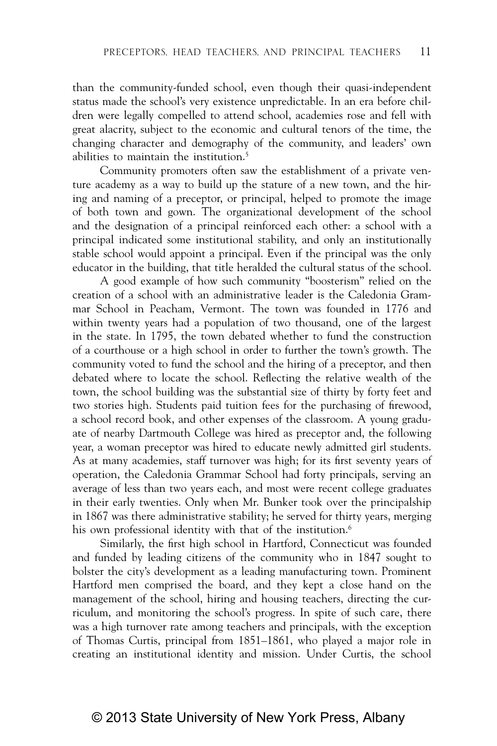than the community-funded school, even though their quasi-independent status made the school's very existence unpredictable. In an era before children were legally compelled to attend school, academies rose and fell with great alacrity, subject to the economic and cultural tenors of the time, the changing character and demography of the community, and leaders' own abilities to maintain the institution.<sup>5</sup>

Community promoters often saw the establishment of a private venture academy as a way to build up the stature of a new town, and the hiring and naming of a preceptor, or principal, helped to promote the image of both town and gown. The organizational development of the school and the designation of a principal reinforced each other: a school with a principal indicated some institutional stability, and only an institutionally stable school would appoint a principal. Even if the principal was the only educator in the building, that title heralded the cultural status of the school.

A good example of how such community "boosterism" relied on the creation of a school with an administrative leader is the Caledonia Grammar School in Peacham, Vermont. The town was founded in 1776 and within twenty years had a population of two thousand, one of the largest in the state. In 1795, the town debated whether to fund the construction of a courthouse or a high school in order to further the town's growth. The community voted to fund the school and the hiring of a preceptor, and then debated where to locate the school. Reflecting the relative wealth of the town, the school building was the substantial size of thirty by forty feet and two stories high. Students paid tuition fees for the purchasing of firewood, a school record book, and other expenses of the classroom. A young graduate of nearby Dartmouth College was hired as preceptor and, the following year, a woman preceptor was hired to educate newly admitted girl students. As at many academies, staff turnover was high; for its first seventy years of operation, the Caledonia Grammar School had forty principals, serving an average of less than two years each, and most were recent college graduates in their early twenties. Only when Mr. Bunker took over the principalship in 1867 was there administrative stability; he served for thirty years, merging his own professional identity with that of the institution.<sup>6</sup>

Similarly, the first high school in Hartford, Connecticut was founded and funded by leading citizens of the community who in 1847 sought to bolster the city's development as a leading manufacturing town. Prominent Hartford men comprised the board, and they kept a close hand on the management of the school, hiring and housing teachers, directing the curriculum, and monitoring the school's progress. In spite of such care, there was a high turnover rate among teachers and principals, with the exception of Thomas Curtis, principal from 1851–1861, who played a major role in creating an institutional identity and mission. Under Curtis, the school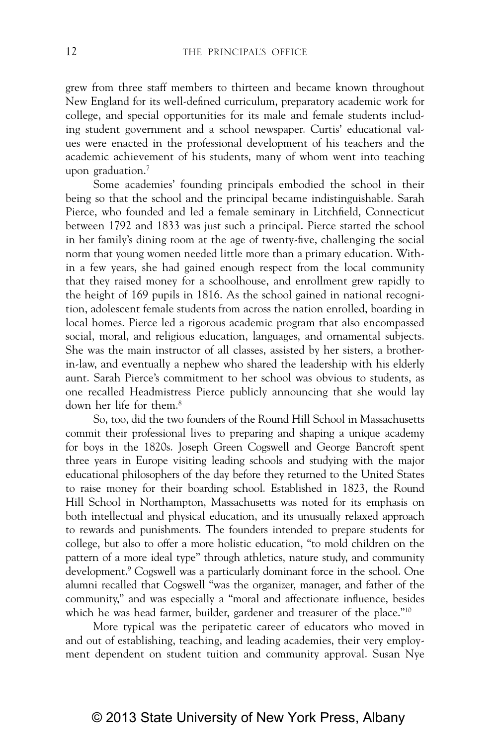grew from three staff members to thirteen and became known throughout New England for its well-defined curriculum, preparatory academic work for college, and special opportunities for its male and female students including student government and a school newspaper. Curtis' educational values were enacted in the professional development of his teachers and the academic achievement of his students, many of whom went into teaching upon graduation.<sup>7</sup>

Some academies' founding principals embodied the school in their being so that the school and the principal became indistinguishable. Sarah Pierce, who founded and led a female seminary in Litchfield, Connecticut between 1792 and 1833 was just such a principal. Pierce started the school in her family's dining room at the age of twenty-five, challenging the social norm that young women needed little more than a primary education. Within a few years, she had gained enough respect from the local community that they raised money for a schoolhouse, and enrollment grew rapidly to the height of 169 pupils in 1816. As the school gained in national recognition, adolescent female students from across the nation enrolled, boarding in local homes. Pierce led a rigorous academic program that also encompassed social, moral, and religious education, languages, and ornamental subjects. She was the main instructor of all classes, assisted by her sisters, a brotherin-law, and eventually a nephew who shared the leadership with his elderly aunt. Sarah Pierce's commitment to her school was obvious to students, as one recalled Headmistress Pierce publicly announcing that she would lay down her life for them.8

So, too, did the two founders of the Round Hill School in Massachusetts commit their professional lives to preparing and shaping a unique academy for boys in the 1820s. Joseph Green Cogswell and George Bancroft spent three years in Europe visiting leading schools and studying with the major educational philosophers of the day before they returned to the United States to raise money for their boarding school. Established in 1823, the Round Hill School in Northampton, Massachusetts was noted for its emphasis on both intellectual and physical education, and its unusually relaxed approach to rewards and punishments. The founders intended to prepare students for college, but also to offer a more holistic education, "to mold children on the pattern of a more ideal type" through athletics, nature study, and community development.9 Cogswell was a particularly dominant force in the school. One alumni recalled that Cogswell "was the organizer, manager, and father of the community," and was especially a "moral and affectionate influence, besides which he was head farmer, builder, gardener and treasurer of the place."<sup>10</sup>

More typical was the peripatetic career of educators who moved in and out of establishing, teaching, and leading academies, their very employment dependent on student tuition and community approval. Susan Nye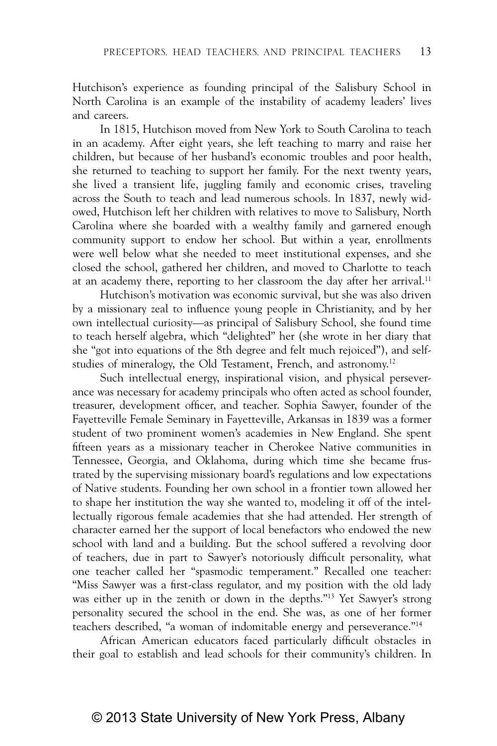Hutchison's experience as founding principal of the Salisbury School in North Carolina is an example of the instability of academy leaders' lives and careers.

In 1815, Hutchison moved from New York to South Carolina to teach in an academy. After eight years, she left teaching to marry and raise her children, but because of her husband's economic troubles and poor health, she returned to teaching to support her family. For the next twenty years, she lived a transient life, juggling family and economic crises, traveling across the South to teach and lead numerous schools. In 1837, newly widowed, Hutchison left her children with relatives to move to Salisbury, North Carolina where she boarded with a wealthy family and garnered enough community support to endow her school. But within a year, enrollments were well below what she needed to meet institutional expenses, and she closed the school, gathered her children, and moved to Charlotte to teach at an academy there, reporting to her classroom the day after her arrival.<sup>11</sup>

Hutchison's motivation was economic survival, but she was also driven by a missionary zeal to influence young people in Christianity, and by her own intellectual curiosity—as principal of Salisbury School, she found time to teach herself algebra, which "delighted" her (she wrote in her diary that she "got into equations of the 8th degree and felt much rejoiced"), and selfstudies of mineralogy, the Old Testament, French, and astronomy.<sup>12</sup>

Such intellectual energy, inspirational vision, and physical perseverance was necessary for academy principals who often acted as school founder, treasurer, development officer, and teacher. Sophia Sawyer, founder of the Fayetteville Female Seminary in Fayetteville, Arkansas in 1839 was a former student of two prominent women's academies in New England. She spent fifteen years as a missionary teacher in Cherokee Native communities in Tennessee, Georgia, and Oklahoma, during which time she became frustrated by the supervising missionary board's regulations and low expectations of Native students. Founding her own school in a frontier town allowed her to shape her institution the way she wanted to, modeling it off of the intellectually rigorous female academies that she had attended. Her strength of character earned her the support of local benefactors who endowed the new school with land and a building. But the school suffered a revolving door of teachers, due in part to Sawyer's notoriously difficult personality, what one teacher called her "spasmodic temperament." Recalled one teacher: "Miss Sawyer was a first-class regulator, and my position with the old lady was either up in the zenith or down in the depths."13 Yet Sawyer's strong personality secured the school in the end. She was, as one of her former teachers described, "a woman of indomitable energy and perseverance."14

African American educators faced particularly difficult obstacles in their goal to establish and lead schools for their community's children. In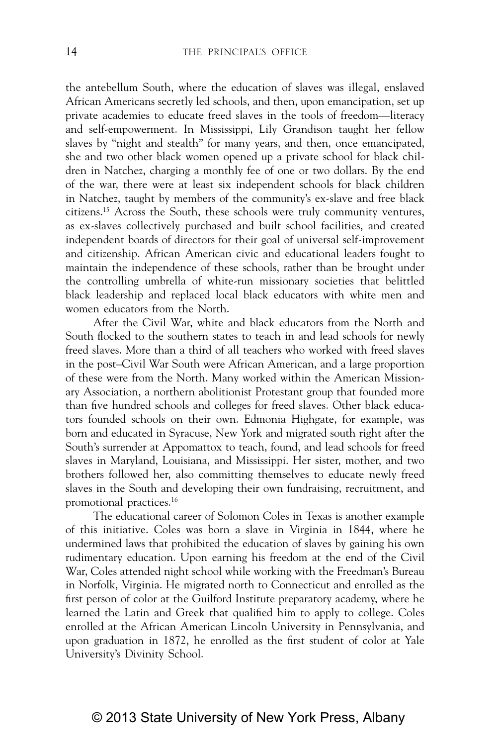the antebellum South, where the education of slaves was illegal, enslaved African Americans secretly led schools, and then, upon emancipation, set up private academies to educate freed slaves in the tools of freedom—literacy and self-empowerment. In Mississippi, Lily Grandison taught her fellow slaves by "night and stealth" for many years, and then, once emancipated, she and two other black women opened up a private school for black children in Natchez, charging a monthly fee of one or two dollars. By the end of the war, there were at least six independent schools for black children in Natchez, taught by members of the community's ex-slave and free black citizens.15 Across the South, these schools were truly community ventures, as ex-slaves collectively purchased and built school facilities, and created independent boards of directors for their goal of universal self-improvement and citizenship. African American civic and educational leaders fought to maintain the independence of these schools, rather than be brought under the controlling umbrella of white-run missionary societies that belittled black leadership and replaced local black educators with white men and women educators from the North.

After the Civil War, white and black educators from the North and South flocked to the southern states to teach in and lead schools for newly freed slaves. More than a third of all teachers who worked with freed slaves in the post–Civil War South were African American, and a large proportion of these were from the North. Many worked within the American Missionary Association, a northern abolitionist Protestant group that founded more than five hundred schools and colleges for freed slaves. Other black educators founded schools on their own. Edmonia Highgate, for example, was born and educated in Syracuse, New York and migrated south right after the South's surrender at Appomattox to teach, found, and lead schools for freed slaves in Maryland, Louisiana, and Mississippi. Her sister, mother, and two brothers followed her, also committing themselves to educate newly freed slaves in the South and developing their own fundraising, recruitment, and promotional practices.16

The educational career of Solomon Coles in Texas is another example of this initiative. Coles was born a slave in Virginia in 1844, where he undermined laws that prohibited the education of slaves by gaining his own rudimentary education. Upon earning his freedom at the end of the Civil War, Coles attended night school while working with the Freedman's Bureau in Norfolk, Virginia. He migrated north to Connecticut and enrolled as the first person of color at the Guilford Institute preparatory academy, where he learned the Latin and Greek that qualified him to apply to college. Coles enrolled at the African American Lincoln University in Pennsylvania, and upon graduation in 1872, he enrolled as the first student of color at Yale University's Divinity School.

# © 2013 State University of New York Press, Albany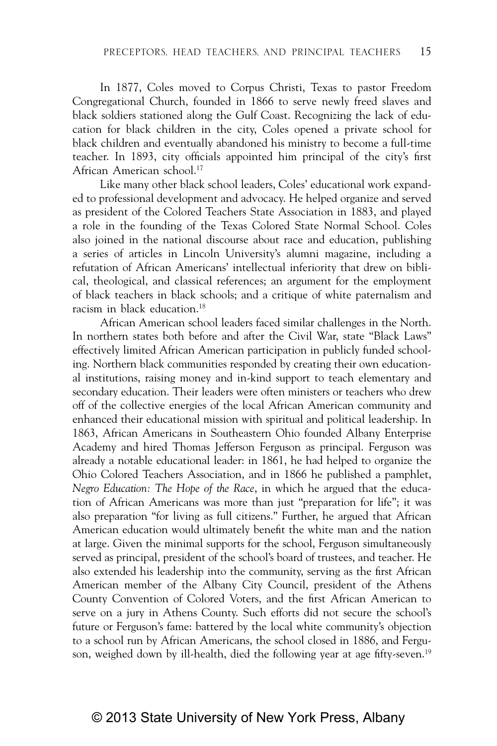In 1877, Coles moved to Corpus Christi, Texas to pastor Freedom Congregational Church, founded in 1866 to serve newly freed slaves and black soldiers stationed along the Gulf Coast. Recognizing the lack of education for black children in the city, Coles opened a private school for black children and eventually abandoned his ministry to become a full-time teacher. In 1893, city officials appointed him principal of the city's first African American school.<sup>17</sup>

Like many other black school leaders, Coles' educational work expanded to professional development and advocacy. He helped organize and served as president of the Colored Teachers State Association in 1883, and played a role in the founding of the Texas Colored State Normal School. Coles also joined in the national discourse about race and education, publishing a series of articles in Lincoln University's alumni magazine, including a refutation of African Americans' intellectual inferiority that drew on biblical, theological, and classical references; an argument for the employment of black teachers in black schools; and a critique of white paternalism and racism in black education.18

African American school leaders faced similar challenges in the North. In northern states both before and after the Civil War, state "Black Laws" effectively limited African American participation in publicly funded schooling. Northern black communities responded by creating their own educational institutions, raising money and in-kind support to teach elementary and secondary education. Their leaders were often ministers or teachers who drew off of the collective energies of the local African American community and enhanced their educational mission with spiritual and political leadership. In 1863, African Americans in Southeastern Ohio founded Albany Enterprise Academy and hired Thomas Jefferson Ferguson as principal. Ferguson was already a notable educational leader: in 1861, he had helped to organize the Ohio Colored Teachers Association, and in 1866 he published a pamphlet, *Negro Education: The Hope of the Race*, in which he argued that the education of African Americans was more than just "preparation for life"; it was also preparation "for living as full citizens." Further, he argued that African American education would ultimately benefit the white man and the nation at large. Given the minimal supports for the school, Ferguson simultaneously served as principal, president of the school's board of trustees, and teacher. He also extended his leadership into the community, serving as the first African American member of the Albany City Council, president of the Athens County Convention of Colored Voters, and the first African American to serve on a jury in Athens County. Such efforts did not secure the school's future or Ferguson's fame: battered by the local white community's objection to a school run by African Americans, the school closed in 1886, and Ferguson, weighed down by ill-health, died the following year at age fifty-seven.<sup>19</sup>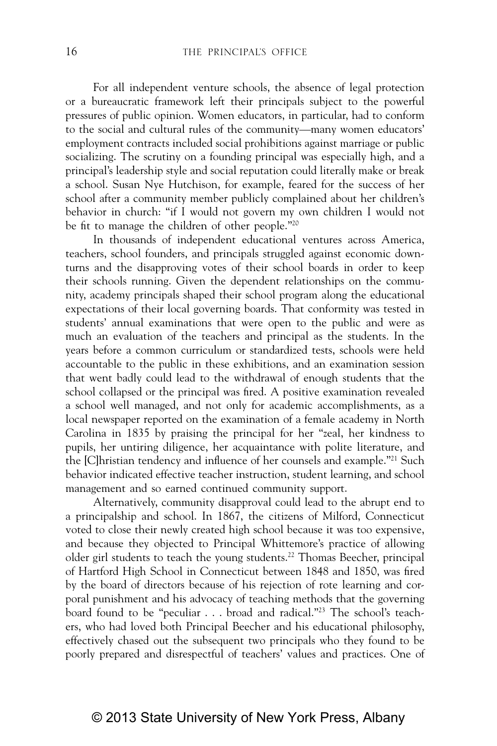For all independent venture schools, the absence of legal protection or a bureaucratic framework left their principals subject to the powerful pressures of public opinion. Women educators, in particular, had to conform to the social and cultural rules of the community—many women educators' employment contracts included social prohibitions against marriage or public socializing. The scrutiny on a founding principal was especially high, and a principal's leadership style and social reputation could literally make or break a school. Susan Nye Hutchison, for example, feared for the success of her school after a community member publicly complained about her children's behavior in church: "if I would not govern my own children I would not be fit to manage the children of other people."20

In thousands of independent educational ventures across America, teachers, school founders, and principals struggled against economic downturns and the disapproving votes of their school boards in order to keep their schools running. Given the dependent relationships on the community, academy principals shaped their school program along the educational expectations of their local governing boards. That conformity was tested in students' annual examinations that were open to the public and were as much an evaluation of the teachers and principal as the students. In the years before a common curriculum or standardized tests, schools were held accountable to the public in these exhibitions, and an examination session that went badly could lead to the withdrawal of enough students that the school collapsed or the principal was fired. A positive examination revealed a school well managed, and not only for academic accomplishments, as a local newspaper reported on the examination of a female academy in North Carolina in 1835 by praising the principal for her "zeal, her kindness to pupils, her untiring diligence, her acquaintance with polite literature, and the [C]hristian tendency and influence of her counsels and example."21 Such behavior indicated effective teacher instruction, student learning, and school management and so earned continued community support.

Alternatively, community disapproval could lead to the abrupt end to a principalship and school. In 1867, the citizens of Milford, Connecticut voted to close their newly created high school because it was too expensive, and because they objected to Principal Whittemore's practice of allowing older girl students to teach the young students.22 Thomas Beecher, principal of Hartford High School in Connecticut between 1848 and 1850, was fired by the board of directors because of his rejection of rote learning and corporal punishment and his advocacy of teaching methods that the governing board found to be "peculiar . . . broad and radical."23 The school's teachers, who had loved both Principal Beecher and his educational philosophy, effectively chased out the subsequent two principals who they found to be poorly prepared and disrespectful of teachers' values and practices. One of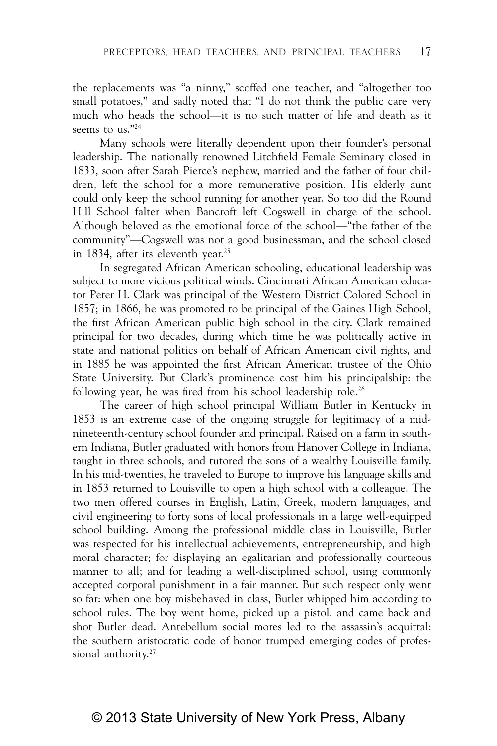the replacements was "a ninny," scoffed one teacher, and "altogether too small potatoes," and sadly noted that "I do not think the public care very much who heads the school—it is no such matter of life and death as it seems to us."24

Many schools were literally dependent upon their founder's personal leadership. The nationally renowned Litchfield Female Seminary closed in 1833, soon after Sarah Pierce's nephew, married and the father of four children, left the school for a more remunerative position. His elderly aunt could only keep the school running for another year. So too did the Round Hill School falter when Bancroft left Cogswell in charge of the school. Although beloved as the emotional force of the school—"the father of the community"—Cogswell was not a good businessman, and the school closed in 1834, after its eleventh year.<sup>25</sup>

In segregated African American schooling, educational leadership was subject to more vicious political winds. Cincinnati African American educator Peter H. Clark was principal of the Western District Colored School in 1857; in 1866, he was promoted to be principal of the Gaines High School, the first African American public high school in the city. Clark remained principal for two decades, during which time he was politically active in state and national politics on behalf of African American civil rights, and in 1885 he was appointed the first African American trustee of the Ohio State University. But Clark's prominence cost him his principalship: the following year, he was fired from his school leadership role.<sup>26</sup>

The career of high school principal William Butler in Kentucky in 1853 is an extreme case of the ongoing struggle for legitimacy of a midnineteenth-century school founder and principal. Raised on a farm in southern Indiana, Butler graduated with honors from Hanover College in Indiana, taught in three schools, and tutored the sons of a wealthy Louisville family. In his mid-twenties, he traveled to Europe to improve his language skills and in 1853 returned to Louisville to open a high school with a colleague. The two men offered courses in English, Latin, Greek, modern languages, and civil engineering to forty sons of local professionals in a large well-equipped school building. Among the professional middle class in Louisville, Butler was respected for his intellectual achievements, entrepreneurship, and high moral character; for displaying an egalitarian and professionally courteous manner to all; and for leading a well-disciplined school, using commonly accepted corporal punishment in a fair manner. But such respect only went so far: when one boy misbehaved in class, Butler whipped him according to school rules. The boy went home, picked up a pistol, and came back and shot Butler dead. Antebellum social mores led to the assassin's acquittal: the southern aristocratic code of honor trumped emerging codes of professional authority.<sup>27</sup>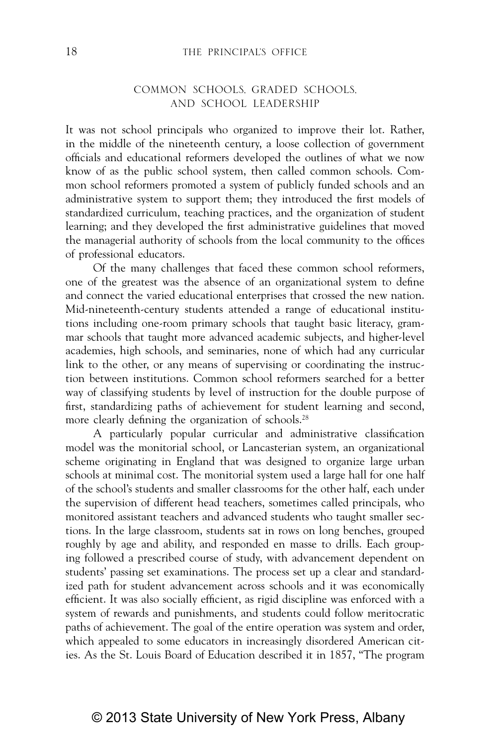#### 18 THE PRINCIPAL'S OFFICE

## COMMON SCHOOLS, GRADED SCHOOLS, AND SCHOOL LEADERSHIP

It was not school principals who organized to improve their lot. Rather, in the middle of the nineteenth century, a loose collection of government officials and educational reformers developed the outlines of what we now know of as the public school system, then called common schools. Common school reformers promoted a system of publicly funded schools and an administrative system to support them; they introduced the first models of standardized curriculum, teaching practices, and the organization of student learning; and they developed the first administrative guidelines that moved the managerial authority of schools from the local community to the offices of professional educators.

Of the many challenges that faced these common school reformers, one of the greatest was the absence of an organizational system to define and connect the varied educational enterprises that crossed the new nation. Mid-nineteenth-century students attended a range of educational institutions including one-room primary schools that taught basic literacy, grammar schools that taught more advanced academic subjects, and higher-level academies, high schools, and seminaries, none of which had any curricular link to the other, or any means of supervising or coordinating the instruction between institutions. Common school reformers searched for a better way of classifying students by level of instruction for the double purpose of first, standardizing paths of achievement for student learning and second, more clearly defining the organization of schools.<sup>28</sup>

A particularly popular curricular and administrative classification model was the monitorial school, or Lancasterian system, an organizational scheme originating in England that was designed to organize large urban schools at minimal cost. The monitorial system used a large hall for one half of the school's students and smaller classrooms for the other half, each under the supervision of different head teachers, sometimes called principals, who monitored assistant teachers and advanced students who taught smaller sections. In the large classroom, students sat in rows on long benches, grouped roughly by age and ability, and responded en masse to drills. Each grouping followed a prescribed course of study, with advancement dependent on students' passing set examinations. The process set up a clear and standardized path for student advancement across schools and it was economically efficient. It was also socially efficient, as rigid discipline was enforced with a system of rewards and punishments, and students could follow meritocratic paths of achievement. The goal of the entire operation was system and order, which appealed to some educators in increasingly disordered American cities. As the St. Louis Board of Education described it in 1857, "The program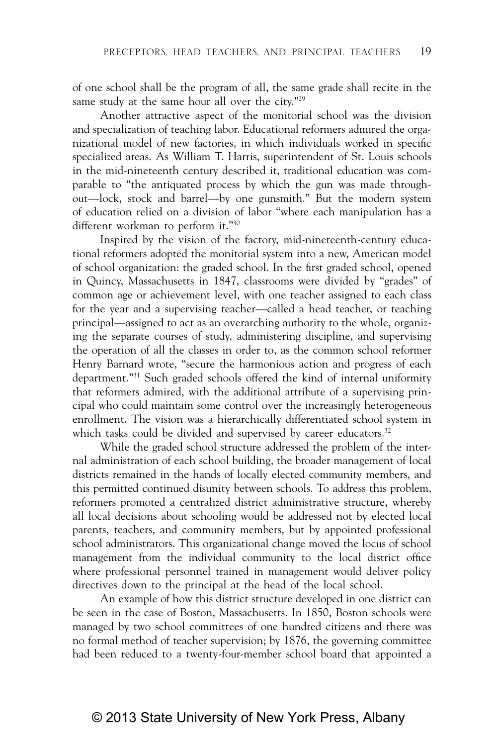of one school shall be the program of all, the same grade shall recite in the same study at the same hour all over the city."<sup>29</sup>

Another attractive aspect of the monitorial school was the division and specialization of teaching labor. Educational reformers admired the organizational model of new factories, in which individuals worked in specific specialized areas. As William T. Harris, superintendent of St. Louis schools in the mid-nineteenth century described it, traditional education was comparable to "the antiquated process by which the gun was made throughout—lock, stock and barrel—by one gunsmith." But the modern system of education relied on a division of labor "where each manipulation has a different workman to perform it."<sup>30</sup>

Inspired by the vision of the factory, mid-nineteenth-century educational reformers adopted the monitorial system into a new, American model of school organization: the graded school. In the first graded school, opened in Quincy, Massachusetts in 1847, classrooms were divided by "grades" of common age or achievement level, with one teacher assigned to each class for the year and a supervising teacher—called a head teacher, or teaching principal—assigned to act as an overarching authority to the whole, organizing the separate courses of study, administering discipline, and supervising the operation of all the classes in order to, as the common school reformer Henry Barnard wrote, "secure the harmonious action and progress of each department."31 Such graded schools offered the kind of internal uniformity that reformers admired, with the additional attribute of a supervising principal who could maintain some control over the increasingly heterogeneous enrollment. The vision was a hierarchically differentiated school system in which tasks could be divided and supervised by career educators.<sup>32</sup>

While the graded school structure addressed the problem of the internal administration of each school building, the broader management of local districts remained in the hands of locally elected community members, and this permitted continued disunity between schools. To address this problem, reformers promoted a centralized district administrative structure, whereby all local decisions about schooling would be addressed not by elected local parents, teachers, and community members, but by appointed professional school administrators. This organizational change moved the locus of school management from the individual community to the local district office where professional personnel trained in management would deliver policy directives down to the principal at the head of the local school.

An example of how this district structure developed in one district can be seen in the case of Boston, Massachusetts. In 1850, Boston schools were managed by two school committees of one hundred citizens and there was no formal method of teacher supervision; by 1876, the governing committee had been reduced to a twenty-four-member school board that appointed a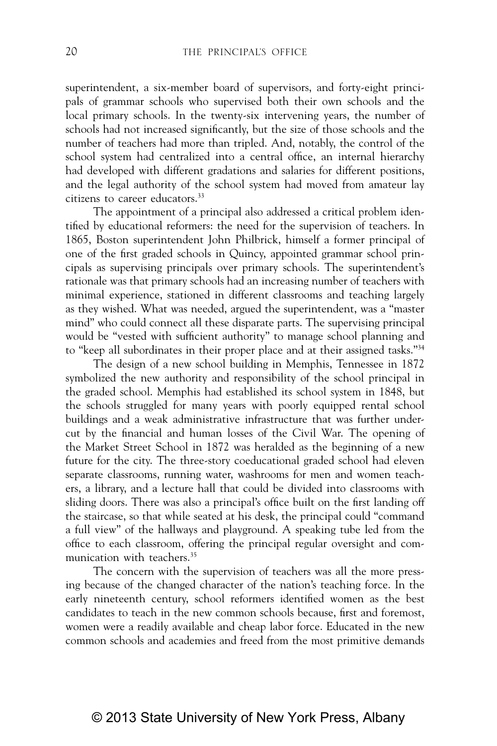superintendent, a six-member board of supervisors, and forty-eight principals of grammar schools who supervised both their own schools and the local primary schools. In the twenty-six intervening years, the number of schools had not increased significantly, but the size of those schools and the number of teachers had more than tripled. And, notably, the control of the school system had centralized into a central office, an internal hierarchy had developed with different gradations and salaries for different positions, and the legal authority of the school system had moved from amateur lay citizens to career educators.33

The appointment of a principal also addressed a critical problem identified by educational reformers: the need for the supervision of teachers. In 1865, Boston superintendent John Philbrick, himself a former principal of one of the first graded schools in Quincy, appointed grammar school principals as supervising principals over primary schools. The superintendent's rationale was that primary schools had an increasing number of teachers with minimal experience, stationed in different classrooms and teaching largely as they wished. What was needed, argued the superintendent, was a "master mind" who could connect all these disparate parts. The supervising principal would be "vested with sufficient authority" to manage school planning and to "keep all subordinates in their proper place and at their assigned tasks."34

The design of a new school building in Memphis, Tennessee in 1872 symbolized the new authority and responsibility of the school principal in the graded school. Memphis had established its school system in 1848, but the schools struggled for many years with poorly equipped rental school buildings and a weak administrative infrastructure that was further undercut by the financial and human losses of the Civil War. The opening of the Market Street School in 1872 was heralded as the beginning of a new future for the city. The three-story coeducational graded school had eleven separate classrooms, running water, washrooms for men and women teachers, a library, and a lecture hall that could be divided into classrooms with sliding doors. There was also a principal's office built on the first landing off the staircase, so that while seated at his desk, the principal could "command a full view" of the hallways and playground. A speaking tube led from the office to each classroom, offering the principal regular oversight and communication with teachers.<sup>35</sup>

The concern with the supervision of teachers was all the more pressing because of the changed character of the nation's teaching force. In the early nineteenth century, school reformers identified women as the best candidates to teach in the new common schools because, first and foremost, women were a readily available and cheap labor force. Educated in the new common schools and academies and freed from the most primitive demands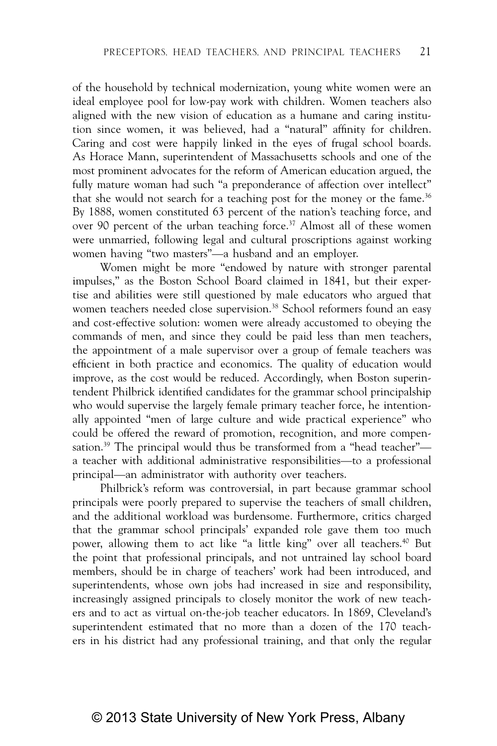of the household by technical modernization, young white women were an ideal employee pool for low-pay work with children. Women teachers also aligned with the new vision of education as a humane and caring institution since women, it was believed, had a "natural" affinity for children. Caring and cost were happily linked in the eyes of frugal school boards. As Horace Mann, superintendent of Massachusetts schools and one of the most prominent advocates for the reform of American education argued, the fully mature woman had such "a preponderance of affection over intellect" that she would not search for a teaching post for the money or the fame.<sup>36</sup> By 1888, women constituted 63 percent of the nation's teaching force, and over 90 percent of the urban teaching force.<sup>37</sup> Almost all of these women were unmarried, following legal and cultural proscriptions against working women having "two masters"—a husband and an employer.

Women might be more "endowed by nature with stronger parental impulses," as the Boston School Board claimed in 1841, but their expertise and abilities were still questioned by male educators who argued that women teachers needed close supervision.<sup>38</sup> School reformers found an easy and cost-effective solution: women were already accustomed to obeying the commands of men, and since they could be paid less than men teachers, the appointment of a male supervisor over a group of female teachers was efficient in both practice and economics. The quality of education would improve, as the cost would be reduced. Accordingly, when Boston superintendent Philbrick identified candidates for the grammar school principalship who would supervise the largely female primary teacher force, he intentionally appointed "men of large culture and wide practical experience" who could be offered the reward of promotion, recognition, and more compensation.<sup>39</sup> The principal would thus be transformed from a "head teacher" a teacher with additional administrative responsibilities—to a professional principal—an administrator with authority over teachers.

Philbrick's reform was controversial, in part because grammar school principals were poorly prepared to supervise the teachers of small children, and the additional workload was burdensome. Furthermore, critics charged that the grammar school principals' expanded role gave them too much power, allowing them to act like "a little king" over all teachers.40 But the point that professional principals, and not untrained lay school board members, should be in charge of teachers' work had been introduced, and superintendents, whose own jobs had increased in size and responsibility, increasingly assigned principals to closely monitor the work of new teachers and to act as virtual on-the-job teacher educators. In 1869, Cleveland's superintendent estimated that no more than a dozen of the 170 teachers in his district had any professional training, and that only the regular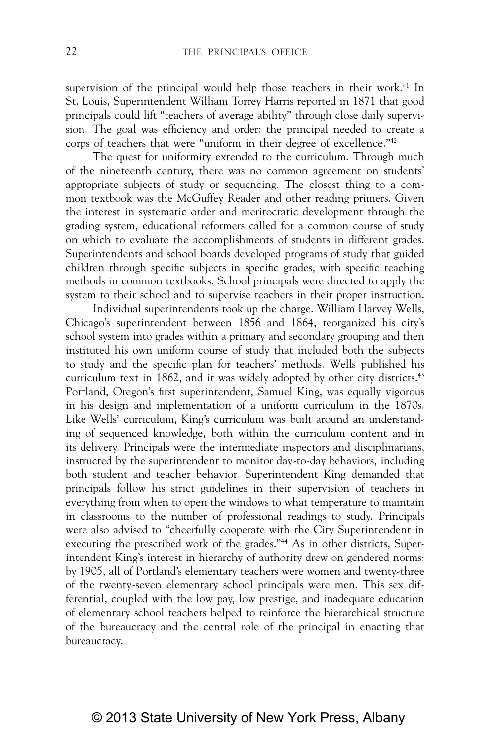supervision of the principal would help those teachers in their work.<sup>41</sup> In St. Louis, Superintendent William Torrey Harris reported in 1871 that good principals could lift "teachers of average ability" through close daily supervision. The goal was efficiency and order: the principal needed to create a corps of teachers that were "uniform in their degree of excellence."<sup>42</sup>

The quest for uniformity extended to the curriculum. Through much of the nineteenth century, there was no common agreement on students' appropriate subjects of study or sequencing. The closest thing to a common textbook was the McGuffey Reader and other reading primers. Given the interest in systematic order and meritocratic development through the grading system, educational reformers called for a common course of study on which to evaluate the accomplishments of students in different grades. Superintendents and school boards developed programs of study that guided children through specific subjects in specific grades, with specific teaching methods in common textbooks. School principals were directed to apply the system to their school and to supervise teachers in their proper instruction.

Individual superintendents took up the charge. William Harvey Wells, Chicago's superintendent between 1856 and 1864, reorganized his city's school system into grades within a primary and secondary grouping and then instituted his own uniform course of study that included both the subjects to study and the specific plan for teachers' methods. Wells published his curriculum text in 1862, and it was widely adopted by other city districts.<sup>43</sup> Portland, Oregon's first superintendent, Samuel King, was equally vigorous in his design and implementation of a uniform curriculum in the 1870s. Like Wells' curriculum, King's curriculum was built around an understanding of sequenced knowledge, both within the curriculum content and in its delivery. Principals were the intermediate inspectors and disciplinarians, instructed by the superintendent to monitor day-to-day behaviors, including both student and teacher behavior. Superintendent King demanded that principals follow his strict guidelines in their supervision of teachers in everything from when to open the windows to what temperature to maintain in classrooms to the number of professional readings to study. Principals were also advised to "cheerfully cooperate with the City Superintendent in executing the prescribed work of the grades."44 As in other districts, Superintendent King's interest in hierarchy of authority drew on gendered norms: by 1905, all of Portland's elementary teachers were women and twenty-three of the twenty-seven elementary school principals were men. This sex differential, coupled with the low pay, low prestige, and inadequate education of elementary school teachers helped to reinforce the hierarchical structure of the bureaucracy and the central role of the principal in enacting that bureaucracy.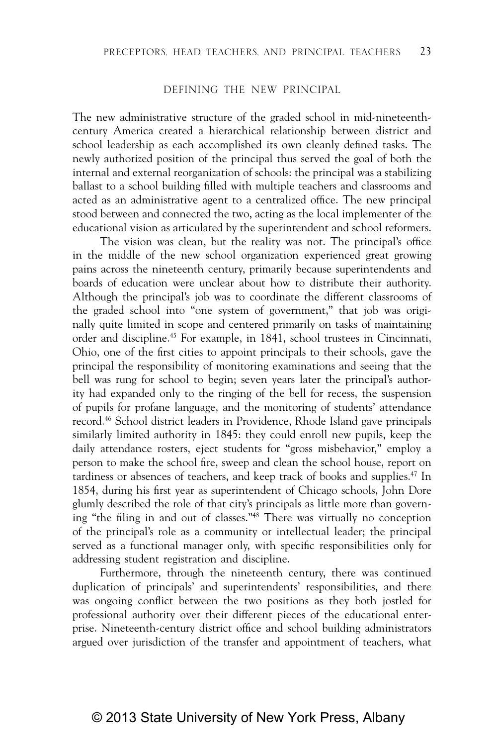#### DEFINING THE NEW PRINCIPAL

The new administrative structure of the graded school in mid-nineteenthcentury America created a hierarchical relationship between district and school leadership as each accomplished its own cleanly defined tasks. The newly authorized position of the principal thus served the goal of both the internal and external reorganization of schools: the principal was a stabilizing ballast to a school building filled with multiple teachers and classrooms and acted as an administrative agent to a centralized office. The new principal stood between and connected the two, acting as the local implementer of the educational vision as articulated by the superintendent and school reformers.

The vision was clean, but the reality was not. The principal's office in the middle of the new school organization experienced great growing pains across the nineteenth century, primarily because superintendents and boards of education were unclear about how to distribute their authority. Although the principal's job was to coordinate the different classrooms of the graded school into "one system of government," that job was originally quite limited in scope and centered primarily on tasks of maintaining order and discipline.45 For example, in 1841, school trustees in Cincinnati, Ohio, one of the first cities to appoint principals to their schools, gave the principal the responsibility of monitoring examinations and seeing that the bell was rung for school to begin; seven years later the principal's authority had expanded only to the ringing of the bell for recess, the suspension of pupils for profane language, and the monitoring of students' attendance record.46 School district leaders in Providence, Rhode Island gave principals similarly limited authority in 1845: they could enroll new pupils, keep the daily attendance rosters, eject students for "gross misbehavior," employ a person to make the school fire, sweep and clean the school house, report on tardiness or absences of teachers, and keep track of books and supplies.<sup>47</sup> In 1854, during his first year as superintendent of Chicago schools, John Dore glumly described the role of that city's principals as little more than governing "the filing in and out of classes."48 There was virtually no conception of the principal's role as a community or intellectual leader; the principal served as a functional manager only, with specific responsibilities only for addressing student registration and discipline.

Furthermore, through the nineteenth century, there was continued duplication of principals' and superintendents' responsibilities, and there was ongoing conflict between the two positions as they both jostled for professional authority over their different pieces of the educational enterprise. Nineteenth-century district office and school building administrators argued over jurisdiction of the transfer and appointment of teachers, what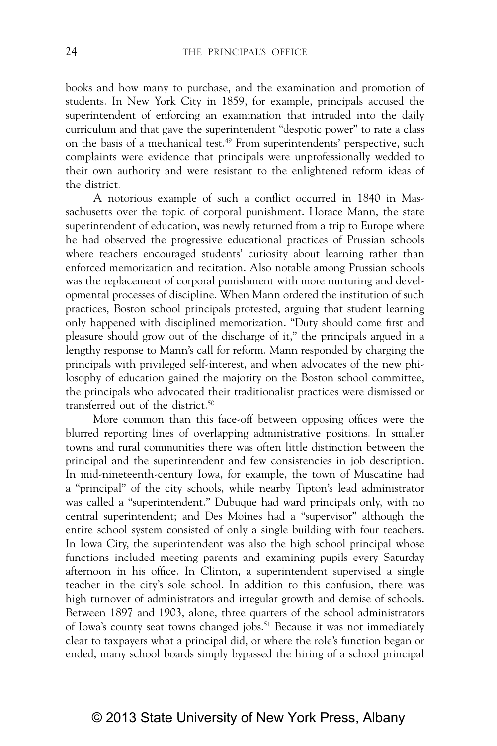books and how many to purchase, and the examination and promotion of students. In New York City in 1859, for example, principals accused the superintendent of enforcing an examination that intruded into the daily curriculum and that gave the superintendent "despotic power" to rate a class on the basis of a mechanical test.<sup>49</sup> From superintendents' perspective, such complaints were evidence that principals were unprofessionally wedded to their own authority and were resistant to the enlightened reform ideas of the district.

A notorious example of such a conflict occurred in 1840 in Massachusetts over the topic of corporal punishment. Horace Mann, the state superintendent of education, was newly returned from a trip to Europe where he had observed the progressive educational practices of Prussian schools where teachers encouraged students' curiosity about learning rather than enforced memorization and recitation. Also notable among Prussian schools was the replacement of corporal punishment with more nurturing and developmental processes of discipline. When Mann ordered the institution of such practices, Boston school principals protested, arguing that student learning only happened with disciplined memorization. "Duty should come first and pleasure should grow out of the discharge of it," the principals argued in a lengthy response to Mann's call for reform. Mann responded by charging the principals with privileged self-interest, and when advocates of the new philosophy of education gained the majority on the Boston school committee, the principals who advocated their traditionalist practices were dismissed or transferred out of the district.<sup>50</sup>

More common than this face-off between opposing offices were the blurred reporting lines of overlapping administrative positions. In smaller towns and rural communities there was often little distinction between the principal and the superintendent and few consistencies in job description. In mid-nineteenth-century Iowa, for example, the town of Muscatine had a "principal" of the city schools, while nearby Tipton's lead administrator was called a "superintendent." Dubuque had ward principals only, with no central superintendent; and Des Moines had a "supervisor" although the entire school system consisted of only a single building with four teachers. In Iowa City, the superintendent was also the high school principal whose functions included meeting parents and examining pupils every Saturday afternoon in his office. In Clinton, a superintendent supervised a single teacher in the city's sole school. In addition to this confusion, there was high turnover of administrators and irregular growth and demise of schools. Between 1897 and 1903, alone, three quarters of the school administrators of Iowa's county seat towns changed jobs.<sup>51</sup> Because it was not immediately clear to taxpayers what a principal did, or where the role's function began or ended, many school boards simply bypassed the hiring of a school principal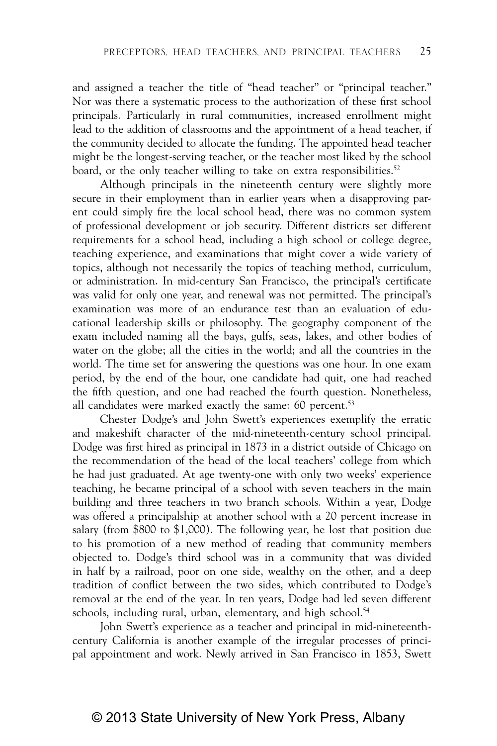and assigned a teacher the title of "head teacher" or "principal teacher." Nor was there a systematic process to the authorization of these first school principals. Particularly in rural communities, increased enrollment might lead to the addition of classrooms and the appointment of a head teacher, if the community decided to allocate the funding. The appointed head teacher might be the longest-serving teacher, or the teacher most liked by the school board, or the only teacher willing to take on extra responsibilities.<sup>52</sup>

Although principals in the nineteenth century were slightly more secure in their employment than in earlier years when a disapproving parent could simply fire the local school head, there was no common system of professional development or job security. Different districts set different requirements for a school head, including a high school or college degree, teaching experience, and examinations that might cover a wide variety of topics, although not necessarily the topics of teaching method, curriculum, or administration. In mid-century San Francisco, the principal's certificate was valid for only one year, and renewal was not permitted. The principal's examination was more of an endurance test than an evaluation of educational leadership skills or philosophy. The geography component of the exam included naming all the bays, gulfs, seas, lakes, and other bodies of water on the globe; all the cities in the world; and all the countries in the world. The time set for answering the questions was one hour. In one exam period, by the end of the hour, one candidate had quit, one had reached the fifth question, and one had reached the fourth question. Nonetheless, all candidates were marked exactly the same: 60 percent.<sup>53</sup>

Chester Dodge's and John Swett's experiences exemplify the erratic and makeshift character of the mid-nineteenth-century school principal. Dodge was first hired as principal in 1873 in a district outside of Chicago on the recommendation of the head of the local teachers' college from which he had just graduated. At age twenty-one with only two weeks' experience teaching, he became principal of a school with seven teachers in the main building and three teachers in two branch schools. Within a year, Dodge was offered a principalship at another school with a 20 percent increase in salary (from \$800 to \$1,000). The following year, he lost that position due to his promotion of a new method of reading that community members objected to. Dodge's third school was in a community that was divided in half by a railroad, poor on one side, wealthy on the other, and a deep tradition of conflict between the two sides, which contributed to Dodge's removal at the end of the year. In ten years, Dodge had led seven different schools, including rural, urban, elementary, and high school.<sup>54</sup>

John Swett's experience as a teacher and principal in mid-nineteenthcentury California is another example of the irregular processes of principal appointment and work. Newly arrived in San Francisco in 1853, Swett